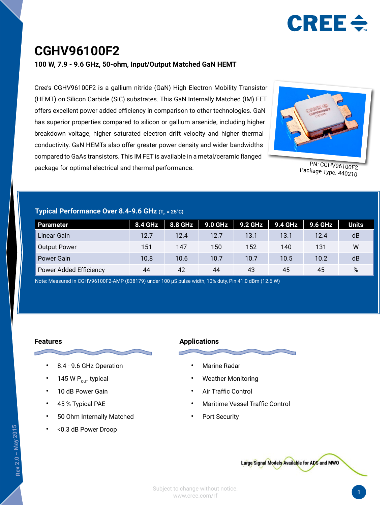

### **CGHV96100F2**

**100 W, 7.9 - 9.6 GHz, 50-ohm, Input/Output Matched GaN HEMT**

Cree's CGHV96100F2 is a gallium nitride (GaN) High Electron Mobility Transistor (HEMT) on Silicon Carbide (SiC) substrates. This GaN Internally Matched (IM) FET offers excellent power added efficiency in comparison to other technologies. GaN has superior properties compared to silicon or gallium arsenide, including higher breakdown voltage, higher saturated electron drift velocity and higher thermal conductivity. GaN HEMTs also offer greater power density and wider bandwidths compared to GaAs transistors. This IM FET is available in a metal/ceramic flanged package for optimal electrical and thermal performance.



PN: CGHV96100F2 Package Type: 440210

#### **Typical Performance Over 8.4-9.6 GHz (T<sub>c</sub> = 25°C)**

| Parameter                     | <b>8.4 GHz</b> | 8.8 GHz | 9.0 GHz | <b>9.2 GHz</b> | <b>9.4 GHz</b> | 9.6 GHz | <b>Units</b> |
|-------------------------------|----------------|---------|---------|----------------|----------------|---------|--------------|
| Linear Gain                   | 12.7           | 12.4    | 12.7    | 13.1           | 13.1           | 12.4    | dB           |
| <b>Output Power</b>           | 151            | 147     | 150     | 152            | 140            | 131     | W            |
| Power Gain                    | 10.8           | 10.6    | 10.7    | 10.7           | 10.5           | 10.2    | dB           |
| <b>Power Added Efficiency</b> | 44             | 42      | 44      | 43             | 45             | 45      | %            |

Note: Measured in CGHV96100F2-AMP (838179) under 100 µS pulse width, 10% duty, Pin 41.0 dBm (12.6 W)

#### **Features**

- 8.4 9.6 GHz Operation
- 145 W  $P_{\text{out}}$  typical
- 10 dB Power Gain
- 45 % Typical PAE
- 50 Ohm Internally Matched
- <0.3 dB Power Droop

#### **Applications**



- Marine Radar
- Weather Monitoring
- Air Traffic Control
- Maritime Vessel Traffic Control
- Port Security

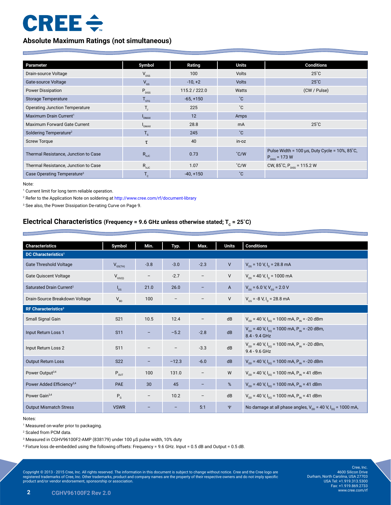# $CREE \div$

#### **Absolute Maximum Ratings (not simultaneous)**

| Parameter                               | Symbol                           | Rating        | <b>Units</b>  | <b>Conditions</b>                                                     |
|-----------------------------------------|----------------------------------|---------------|---------------|-----------------------------------------------------------------------|
| Drain-source Voltage                    | $V_{DSS}$                        | 100           | <b>Volts</b>  | $25^{\circ}$ C                                                        |
| Gate-source Voltage                     | $V_{GS}$                         | $-10, +2$     | <b>Volts</b>  | $25^{\circ}$ C                                                        |
| <b>Power Dissipation</b>                | $P_{DISS}$                       | 115.2 / 222.0 | Watts         | (CW / Pulse)                                                          |
| Storage Temperature                     | $T_{\rm src}$                    | $-65, +150$   | °С            |                                                                       |
| <b>Operating Junction Temperature</b>   |                                  | 225           | °С            |                                                                       |
| Maximum Drain Current <sup>1</sup>      | <b>DMAX</b>                      | 12            | Amps          |                                                                       |
| Maximum Forward Gate Current            | $\mathsf{I}_{\mathsf{GMAX}}$     | 28.8          | mA            | $25^{\circ}$ C                                                        |
| Soldering Temperature <sup>2</sup>      | $T_{\rm s}$                      | 245           | °С            |                                                                       |
| <b>Screw Torque</b>                     | τ                                | 40            | in-oz         |                                                                       |
| Thermal Resistance, Junction to Case    | $R_{\rm \scriptscriptstyle 0JC}$ | 0.73          | $\degree$ C/W | Pulse Width = 100 $\mu$ s, Duty Cycle = 10%, 85°C,<br>$P_{p} = 173 W$ |
| Thermal Resistance, Junction to Case    | $R_{\rm \scriptscriptstyle 0JC}$ | 1.07          | $\degree$ C/W | CW, 85°C, $P_{\text{DISS}} = 115.2 W$                                 |
| Case Operating Temperature <sup>3</sup> | $T_c$                            | $-40, +150$   | °С            |                                                                       |

Note:

<sup>1</sup> Current limit for long term reliable operation.

2 Refer to the Application Note on soldering at http://www.cree.com/rf/document-library

3 See also, the Power Dissipation De-rating Curve on Page 9.

#### **Electrical Characteristics (Frequency = 9.6 GHz unless otherwise stated; T<sub>c</sub> = 25°C)**

| <b>Characteristics</b>                | Symbol                      | Min.                     | Typ.              | Max.                     | <b>Units</b>   | <b>Conditions</b>                                                                              |
|---------------------------------------|-----------------------------|--------------------------|-------------------|--------------------------|----------------|------------------------------------------------------------------------------------------------|
| <b>DC Characteristics<sup>1</sup></b> |                             |                          |                   |                          |                |                                                                                                |
| <b>Gate Threshold Voltage</b>         | $V_{GS(TH)}$                | $-3.8$                   | $-3.0$            | $-2.3$                   | $\mathsf{V}$   | $V_{DS}$ = 10 V, I <sub>D</sub> = 28.8 mA                                                      |
| <b>Gate Quiscent Voltage</b>          | $V_{GS(Q)}$                 | $\overline{\phantom{0}}$ | $-2.7$            |                          | $\vee$         | $V_{\text{ns}}$ = 40 V, I <sub>n</sub> = 1000 mA                                               |
| Saturated Drain Current <sup>2</sup>  | $I_{DS}$                    | 21.0                     | 26.0              |                          | $\overline{A}$ | $V_{\text{ns}}$ = 6.0 V, V <sub>GS</sub> = 2.0 V                                               |
| Drain-Source Breakdown Voltage        | $V_{BD}$                    | 100                      | $\qquad \qquad -$ | —                        | V              | $V_{\text{gs}}$ = -8 V, I <sub>p</sub> = 28.8 mA                                               |
| RF Characteristics <sup>3</sup>       |                             |                          |                   |                          |                |                                                                                                |
| Small Signal Gain                     | S <sub>21</sub>             | 10.5                     | 12.4              |                          | dB             | $V_{DD}$ = 40 V, I <sub>DO</sub> = 1000 mA, P <sub>IN</sub> = -20 dBm                          |
| Input Return Loss 1                   | <b>S11</b>                  | $\overline{\phantom{0}}$ | $-5.2$            | $-2.8$                   | dB             | $V_{\text{DD}}$ = 40 V, I <sub>po</sub> = 1000 mA, P <sub>IN</sub> = -20 dBm,<br>8.4 - 9.4 GHz |
| Input Return Loss 2                   | S <sub>11</sub>             | $\qquad \qquad -$        | $\qquad \qquad -$ | $-3.3$                   | dB             | $V_{DD}$ = 40 V, I <sub>DO</sub> = 1000 mA, P <sub>IN</sub> = -20 dBm,<br>$9.4 - 9.6$ GHz      |
| <b>Output Return Loss</b>             | <b>S22</b>                  | -                        | $-12.3$           | $-6.0$                   | dB             | $V_{DD}$ = 40 V, I <sub>DO</sub> = 1000 mA, P <sub>IN</sub> = -20 dBm                          |
| Power Output <sup>3,4</sup>           | $\mathsf{P}_{\mathsf{OUT}}$ | 100                      | 131.0             | $\overline{\phantom{m}}$ | W              | $V_{DD}$ = 40 V, I <sub>DO</sub> = 1000 mA, P <sub>IN</sub> = 41 dBm                           |
| Power Added Efficiency <sup>3,4</sup> | PAE                         | 30                       | 45                | -                        | %              | $V_{DD}$ = 40 V, I <sub>DO</sub> = 1000 mA, P <sub>IN</sub> = 41 dBm                           |
| Power Gain <sup>3,4</sup>             | $P_{G}$                     | $\overline{\phantom{m}}$ | 10.2              |                          | dB             | $V_{DD}$ = 40 V, I <sub>DO</sub> = 1000 mA, P <sub>IN</sub> = 41 dBm                           |
| <b>Output Mismatch Stress</b>         | <b>VSWR</b>                 | -                        |                   | 5:1                      | $\Psi$         | No damage at all phase angles, $V_{nn}$ = 40 V, $I_{nn}$ = 1000 mA,                            |

#### Notes:

1 Measured on-wafer prior to packaging.

2 Scaled from PCM data.

3 Measured in CGHV96100F2-AMP (838179) under 100 µS pulse width, 10% duty

4 Fixture loss de-embedded using the following offsets: Frequency = 9.6 GHz. Input = 0.5 dB and Output = 0.5 dB.

Copyright © 2013 - 2015 Cree, Inc. All rights reserved. The information in this document is subject to change without notice. Cree and the Cree logo are<br>registered trademarks of Cree, Inc. Other trademarks, product and co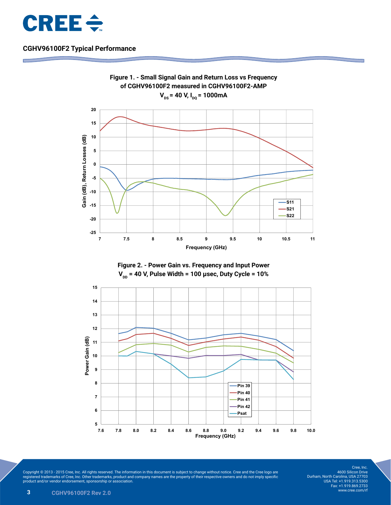







Copyright © 2013 - 2015 Cree, Inc. All rights reserved. The information in this document is subject to change without notice. Cree and the Cree logo are<br>registered trademarks of Cree, Inc. Other trademarks, product and co

Cree, Inc. 4600 Silicon Drive Durham, North Carolina, USA 27703 USA Tel: +1.919.313.5300 Fax: +1.919.869.2733 www.cree.com/rf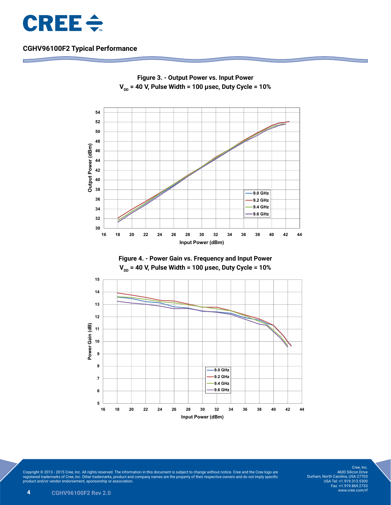



**Figure 3. - Output Power vs. Input Power V** $_{\text{DD}}$  **= 40 V, Pulse Width = 100 µsec, Duty Cycle = 10%** 

Copyright © 2013 - 2015 Cree, Inc. All rights reserved. The information in this document is subject to change without notice. Cree and the Cree logo are<br>registered trademarks of Cree, Inc. Other trademarks, product and co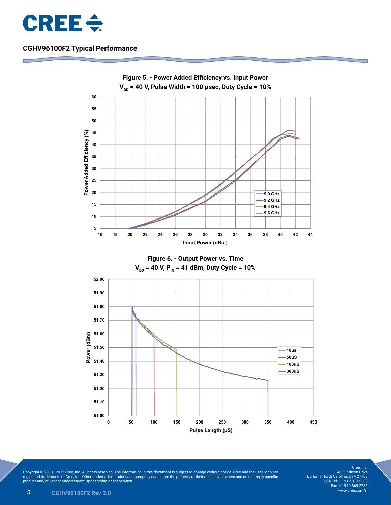



Copyright © 2013 - 2015 Cree, Inc. All rights reserved. The information in this document is subject to change without notice. Cree and the Cree logo are<br>registered trademarks of Cree, Inc. Other trademarks, product and co

Cree, Inc. 4600 Silicon Drive Durham, North Carolina, USA 27703 USA Tel: +1.919.313.5300 Fax: +1.919.869.2733 www.cree.com/rf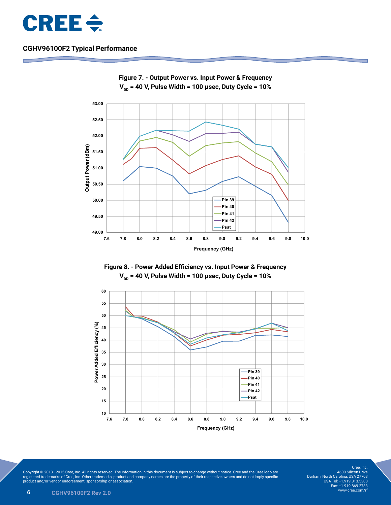









Copyright © 2013 - 2015 Cree, Inc. All rights reserved. The information in this document is subject to change without notice. Cree and the Cree logo are<br>registered trademarks of Cree, Inc. Other trademarks, product and co

Cree, Inc. 4600 Silicon Drive Durham, North Carolina, USA 27703 USA Tel: +1.919.313.5300 Fax: +1.919.869.2733 www.cree.com/rf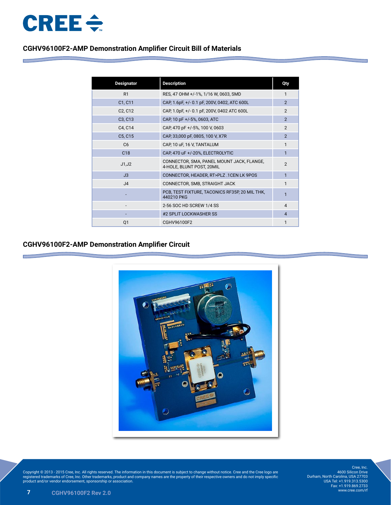

#### **CGHV96100F2-AMP Demonstration Amplifier Circuit Bill of Materials**

| <b>Designator</b>                | <b>Description</b>                                                     | Qty            |
|----------------------------------|------------------------------------------------------------------------|----------------|
| R1                               | RES, 47 OHM +/-1%, 1/16 W, 0603, SMD                                   | 1              |
| C1, C11                          | CAP, 1.6pF, +/- 0.1 pF, 200V, 0402, ATC 600L                           | $\mathfrak{p}$ |
| C <sub>2</sub> , C <sub>12</sub> | CAP, 1.0pF, +/- 0.1 pF, 200V, 0402 ATC 600L                            | $\mathfrak{p}$ |
| C3, C13                          | CAP, 10 pF +/-5%, 0603, ATC                                            | $\overline{2}$ |
| C4, C14                          | CAP, 470 pF +/-5%, 100 V, 0603                                         | $\mathfrak{p}$ |
| C5, C15                          | CAP, 33,000 pF, 0805, 100 V, X7R                                       | $\overline{2}$ |
| C <sub>6</sub>                   | CAP, 10 uF, 16 V, TANTALUM                                             | 1              |
| C <sub>18</sub>                  | CAP, 470 uF +/-20%, ELECTROLYTIC                                       | $\mathbf{1}$   |
| J1, J2                           | CONNECTOR, SMA, PANEL MOUNT JACK, FLANGE,<br>4-HOLE, BLUNT POST, 20MIL | $\mathcal{P}$  |
| J3                               | CONNECTOR, HEADER, RT>PLZ .1CEN LK 9POS                                |                |
| J <sub>4</sub>                   | CONNECTOR, SMB, STRAIGHT JACK                                          | 1              |
|                                  | PCB, TEST FIXTURE, TACONICS RF35P, 20 MIL THK,<br>440210 PKG           | 1              |
|                                  | 2-56 SOC HD SCREW 1/4 SS                                               | $\overline{4}$ |
|                                  | #2 SPLIT LOCKWASHER SS                                                 | $\overline{4}$ |
| Q1                               | CGHV96100F2                                                            | 1              |

#### **CGHV96100F2-AMP Demonstration Amplifier Circuit**



Copyright © 2013 - 2015 Cree, Inc. All rights reserved. The information in this document is subject to change without notice. Cree and the Cree logo are<br>registered trademarks of Cree, Inc. Other trademarks, product and co

Cree, Inc. 4600 Silicon Drive Durham, North Carolina, USA 27703 USA Tel: +1.919.313.5300 Fax: +1.919.869.2733 www.cree.com/rf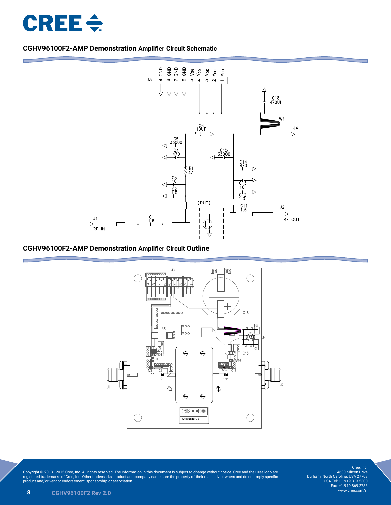

#### **CGHV96100F2-AMP Demonstration Amplifier Circuit Schematic**



#### **CGHV96100F2-AMP Demonstration Amplifier Circuit Outline**



Copyright © 2013 - 2015 Cree, Inc. All rights reserved. The information in this document is subject to change without notice. Cree and the Cree logo are<br>registered trademarks of Cree, Inc. Other trademarks, product and co

Cree, Inc. 4600 Silicon Drive Durham, North Carolina, USA 27703 USA Tel: +1.919.313.5300 Fax: +1.919.869.2733 www.cree.com/rf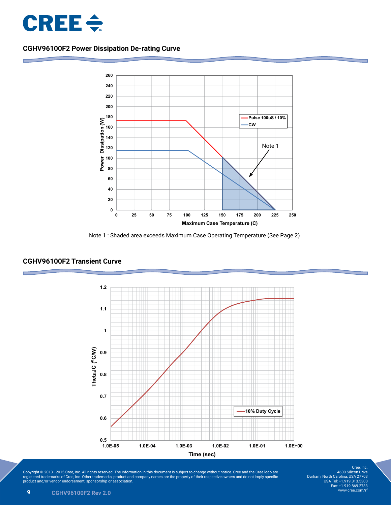

### **CGHV96100F2 Power Dissipation De-rating Curve**



**Power dissipation derating curve vs. Max Tcase**





#### **CGHV96100F2 Transient Curve**

Copyright © 2013 - 2015 Cree, Inc. All rights reserved. The information in this document is subject to change without notice. Cree and the Cree logo are<br>registered trademarks of Cree, Inc. Other trademarks, product and co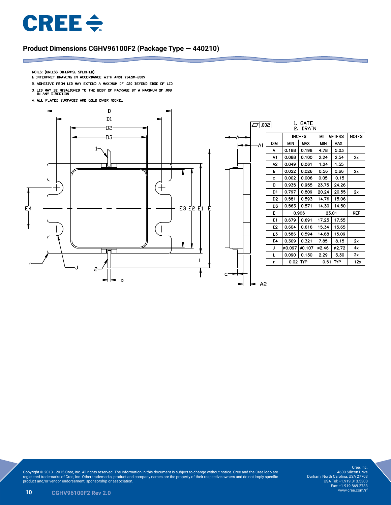

#### **Product Dimensions CGHV96100F2 (Package Type — 440210)**

- NOTES: (UNLESS OTHERWISE SPECIFIED)
- 1. INTERPRET DRAWING IN ACCORDANCE WITH ANSI Y14.5M-2009
- 2. ADHESIVE FROM LID MAY EXTEND A MAXIMUM OF .020 BEYOND EDGE OF LID
- 3. LID MAY BE MISALIGNED TO THE BODY OF PACKAGE BY A MAXIMUM OF  $.008$  IN ANY DIRECTION
- 4. ALL PLATED SURFACES ARE GOLD OVER NICKEL





Copyright © 2013 - 2015 Cree, Inc. All rights reserved. The information in this document is subject to change without notice. Cree and the Cree logo are<br>registered trademarks of Cree, Inc. Other trademarks, product and co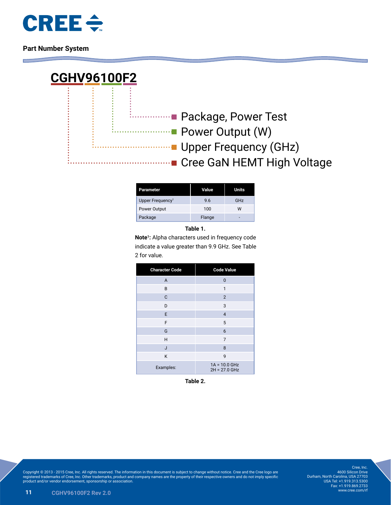

**Part Number System**



| Parameter                    | Value  | <b>Units</b> |
|------------------------------|--------|--------------|
| Upper Frequency <sup>1</sup> | 9.6    | GHz          |
| Power Output                 | 100    | w            |
| Package                      | Flange | -            |

**Table 1.**

**Note1:** Alpha characters used in frequency code indicate a value greater than 9.9 GHz. See Table 2 for value.

| <b>Character Code</b> | <b>Code Value</b>                  |  |  |
|-----------------------|------------------------------------|--|--|
| $\overline{A}$        | $\mathbf 0$                        |  |  |
| B                     | 1                                  |  |  |
| C                     | $\overline{2}$                     |  |  |
| D                     | 3                                  |  |  |
| E                     | $\overline{4}$                     |  |  |
| F                     | 5                                  |  |  |
| G                     | 6                                  |  |  |
| H                     | $\overline{7}$                     |  |  |
| J                     | 8                                  |  |  |
| K                     | 9                                  |  |  |
| Examples:             | $1A = 10.0$ GHz<br>$2H = 27.0$ GHz |  |  |

**Table 2.**

Copyright © 2013 - 2015 Cree, Inc. All rights reserved. The information in this document is subject to change without notice. Cree and the Cree logo are<br>registered trademarks of Cree, Inc. Other trademarks, product and co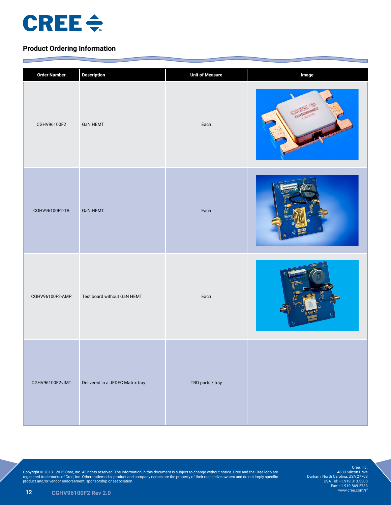

E

**Contract Contract** 

#### **Product Ordering Information**

| <b>Order Number</b> | <b>Description</b>               | <b>Unit of Measure</b> | Image |
|---------------------|----------------------------------|------------------------|-------|
| CGHV96100F2         | <b>GaN HEMT</b>                  | Each                   |       |
| CGHV96100F2-TB      | <b>GaN HEMT</b>                  | Each                   |       |
| CGHV96100F2-AMP     | Test board without GaN HEMT      | Each                   |       |
| CGHV96100F2-JMT     | Delivered in a JEDEC Matrix tray | TBD parts / tray       |       |

Copyright © 2013 - 2015 Cree, Inc. All rights reserved. The information in this document is subject to change without notice. Cree and the Cree logo are<br>registered trademarks of Cree, Inc. Other trademarks, product and co

Cree, Inc. 4600 Silicon Drive Durham, North Carolina, USA 27703 USA Tel: +1.919.313.5300 Fax: +1.919.869.2733 www.cree.com/rf

**The Company's Service**